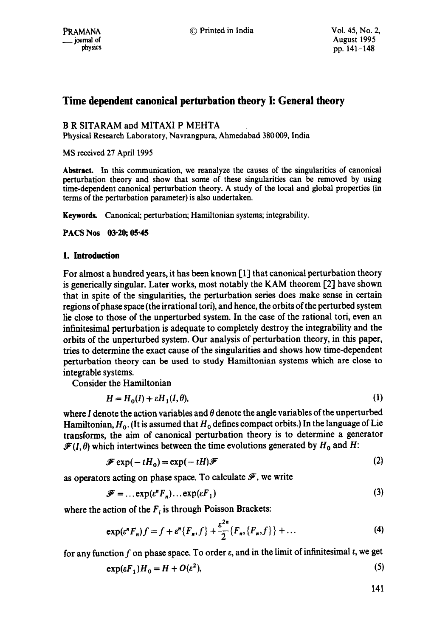# **Time dependent canonical perturbation theory I: General theory**

## B R SITARAM and MITAXI P MEHTA

Physical Research Laboratory, Navrangpura, Ahmedabad 380 009, India

MS received 27 April 1995

Abstract. In this communication, we reanalyze the causes of the singularities of canonical perturbation theory and show that some of these singularities can be removed by using time-dependent canonical perturbation theory. A study of the local and global properties (in terms of the perturbation parameter) is also undertaken.

Keywords. Canonical; perturbation; Hamiltonian systems; integrability.

**PACS Nos 03.20; 05.45** 

## **1. Introduction**

For almost a hundred years, it has been known [1] that canonical perturbation theory is generically singular. Later works, most notably the KAM theorem [2] have shown that in spite of the singularities, the perturbation series does make sense in certain regions of phase space (the irrational tori), and hence, the orbits of the perturbed system lie close to those of the unperturbed system. In the case of the rational tori, even an infinitesimal perturbation is adequate to completely destroy the integrability and the orbits of the unperturbed system. Our analysis of perturbation theory, in this paper, tries to determine the exact cause of the singularities and shows how time-dependent perturbation theory can be used to study Hamiltonian systems which are close to integrable systems.

Consider the Hamiltonian

$$
H = H_0(I) + \varepsilon H_1(I, \theta),\tag{1}
$$

where I denote the action variables and  $\theta$  denote the angle variables of the unperturbed Hamiltonian,  $H_0$ . (It is assumed that  $H_0$  defines compact orbits.) In the language of Lie transforms, the aim of canonical perturbation theory is to determine a generator  $\mathcal{F}(I,\theta)$  which intertwines between the time evolutions generated by  $H_0$  and H:

$$
\mathcal{F}\exp(-tH_0) = \exp(-tH)\mathcal{F}
$$
 (2)

as operators acting on phase space. To calculate  $\mathscr F$ , we write

$$
\mathcal{F} = \dots \exp(e^n F_n) \dots \exp(e F_1) \tag{3}
$$

where the action of the  $F_i$  is through Poisson Brackets:

$$
\exp(\varepsilon^{n} F_{n})f = f + \varepsilon^{n} \{F_{n}, f\} + \frac{\varepsilon^{2n}}{2} \{F_{n}, \{F_{n}, f\} \} + \dots
$$
 (4)

for any function f on phase space. To order  $\varepsilon$ , and in the limit of infinitesimal t, we get

$$
\exp(\varepsilon F_1)H_0 = H + O(\varepsilon^2),\tag{5}
$$

141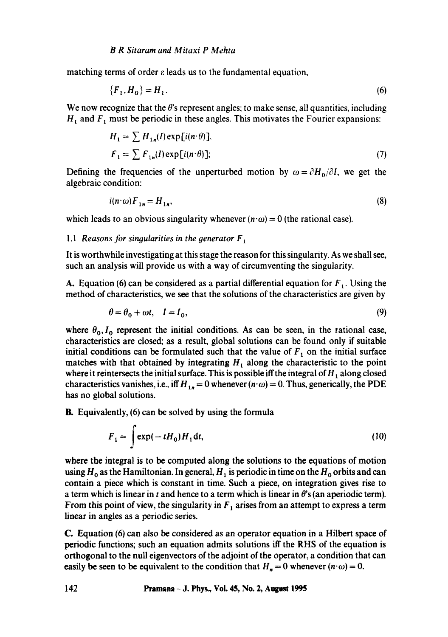matching terms of order  $\varepsilon$  leads us to the fundamental equation,

$$
\{F_1, H_0\} = H_1. \tag{6}
$$

We now recognize that the  $\theta$ 's represent angles; to make sense, all quantities, including  $H_1$  and  $F_1$  must be periodic in these angles. This motivates the Fourier expansions:

$$
H_1 = \sum H_{1n}(I) \exp[i(n \cdot \theta)].
$$
  
\n
$$
F_1 = \sum F_{1n}(I) \exp[i(n \cdot \theta)].
$$
\n(7)

Defining the frequencies of the unperturbed motion by  $\omega = \partial H_0/\partial I$ , we get the algebraic condition:

$$
i(n \cdot \omega) F_{1n} = H_{1n},\tag{8}
$$

which leads to an obvious singularity whenever  $(n \cdot \omega) = 0$  (the rational case).

## 1.1 *Reasons for singularities in the generator*  $F_1$

It is worthwhile investigating at this stage the reason for this singularity. As we shall see, such an analysis will provide us with a way of circumventing the singularity.

A. Equation (6) can be considered as a partial differential equation for  $F_1$ . Using the method of characteristics, we see that the solutions of the characteristics are given by

$$
\theta = \theta_0 + \omega t, \quad I = I_0,\tag{9}
$$

where  $\theta_0$ ,  $I_0$  represent the initial conditions. As can be seen, in the rational case, characteristics are closed; as a result, global solutions can be found only if suitable initial conditions can be formulated such that the value of  $F_1$  on the initial surface matches with that obtained by integrating  $H_1$  along the characteristic to the point where it reintersects the initial surface. This is possible iff the integral of  $H_1$  along closed characteristics vanishes, i.e., iff  $H_{1n} = 0$  whenever  $(n \cdot \omega) = 0$ . Thus, generically, the PDE has no global solutions.

B. Equivalently, (6) can be solved by using the formula

$$
F_1 = \int \exp(-tH_0)H_1 dt,
$$
\n(10)

where the integral is to be computed along the solutions to the equations of motion using  $H_0$  as the Hamiltonian. In general,  $H_1$  is periodic in time on the  $H_0$  orbits and can contain a piece which is constant in time. Such a piece, on integration gives rise to a term which is linear in t and hence to a term which is linear in  $\theta$ 's (an aperiodic term). From this point of view, the singularity in  $F_1$  arises from an attempt to express a term linear in angles as a periodic series.

C. Equation (6) can also be considered as an operator equation in a Hilbert space of periodic functions; such an equation admits solutions iff the RHS of the equation is orthogonal to the null eigenvectors of the adjoint of the operator, a condition that can easily be seen to be equivalent to the condition that  $H_n = 0$  whenever  $(n \cdot \omega) = 0$ .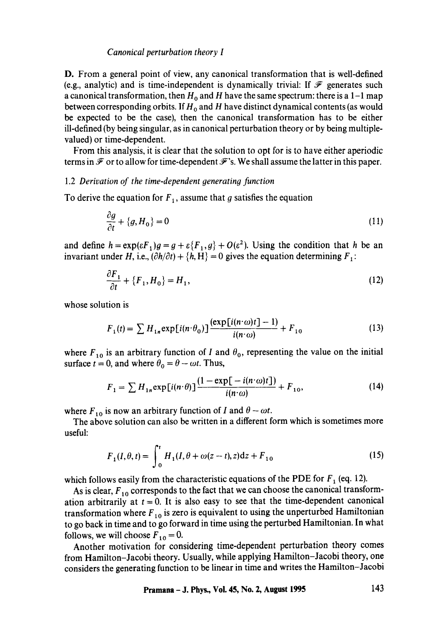#### *Canonical perturbation theory I*

D. From a general point of view, any canonical transformation that is well-defined (e.g., analytic) and is time-independent is dynamically trivial: If  $\mathcal F$  generates such a canonical transformation, then  $H_0$  and H have the same spectrum: there is a 1-1 map between corresponding orbits. If  $H_0$  and H have distinct dynamical contents (as would be expected to be the case), then the canonical transformation has to be either ill-defined (by being singular, as in canonical perturbation theory or by being multiplevalued) or time-dependent.

From this analysis, it is clear that the solution to opt for is to have either aperiodic terms in  $\mathcal F$  or to allow for time-dependent  $\mathcal F$ 's. We shall assume the latter in this paper.

## 1.2 Derivation of the time-dependent generating function

To derive the equation for  $F_1$ , assume that g satisfies the equation

$$
\frac{\partial g}{\partial t} + \{g, H_0\} = 0\tag{11}
$$

and define  $h = \exp(\varepsilon F_1)g = g + \varepsilon \{F_1, g\} + O(\varepsilon^2)$ . Using the condition that h be an invariant under H, i.e.,  $(\partial h/\partial t) + \{h, H\} = 0$  gives the equation determining  $F_1$ :

$$
\frac{\partial F_1}{\partial t} + \{F_1, H_0\} = H_1,\tag{12}
$$

whose solution is

$$
F_1(t) = \sum H_{1n} \exp[i(n \cdot \theta_0)] \frac{(\exp[i(n \cdot \omega)t] - 1)}{i(n \cdot \omega)} + F_{10}
$$
 (13)

where  $F_{10}$  is an arbitrary function of I and  $\theta_0$ , representing the value on the initial surface  $t = 0$ , and where  $\theta_0 = \theta - \omega t$ . Thus,

$$
F_1 = \sum H_{1n} \exp[i(n \cdot \theta)] \frac{(1 - \exp[-i(n \cdot \omega)t])}{i(n \cdot \omega)} + F_{10},\tag{14}
$$

where  $F_{10}$  is now an arbitrary function of I and  $\theta - \omega t$ .

The above solution can also be written in a different form which is sometimes more useful:

$$
F_1(I, \theta, t) = \int_0^t H_1(I, \theta + \omega(z - t), z) dz + F_{10}
$$
\n(15)

which follows easily from the characteristic equations of the PDE for  $F_1$  (eq. 12).

As is clear,  $F_{10}$  corresponds to the fact that we can choose the canonical transformation arbitrarily at  $t = 0$ . It is also easy to see that the time-dependent canonical transformation where  $F_{10}$  is zero is equivalent to using the unperturbed Hamiltonian to go back in time and to go forward in time using the perturbed Hamiltonian. In what follows, we will choose  $F_{10} = 0$ .

Another motivation for considering time-dependent perturbation theory comes from Hamilton-Jacobi theory. Usually, while applying Hamilton-Jacobi theory, one considers the generating function to be linear in time and writes the Hamilton-Jacobi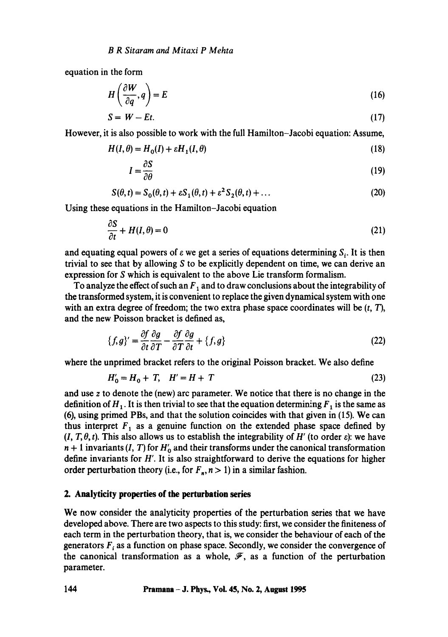equation in the form

$$
H\left(\frac{\partial W}{\partial q}, q\right) = E\tag{16}
$$

$$
S = W - Et. \tag{17}
$$

However, it is also possible to work with the full Hamilton-Jacobi equation: Assume,

$$
H(I, \theta) = H_0(I) + \varepsilon H_1(I, \theta) \tag{18}
$$

$$
I = \frac{\partial S}{\partial \theta} \tag{19}
$$

$$
S(\theta, t) = S_0(\theta, t) + \varepsilon S_1(\theta, t) + \varepsilon^2 S_2(\theta, t) + \dots
$$
\n(20)

Using these equations in the Hamilton-Jacobi equation

$$
\frac{\partial S}{\partial t} + H(I, \theta) = 0 \tag{21}
$$

and equating equal powers of  $\varepsilon$  we get a series of equations determining  $S_i$ . It is then trivial to see that by allowing S to be explicitly dependent on time, we can derive an expression for S which is equivalent to the above Lie transform formalism.

To analyze the effect of such an  $F_1$  and to draw conclusions about the integrability of the transformed system, it is convenient to replace the given dynamical system with one with an extra degree of freedom; the two extra phase space coordinates will be  $(t, T)$ , and the new Poisson bracket is defined as,

$$
\{f,g\}' = \frac{\partial f}{\partial t} \frac{\partial g}{\partial T} - \frac{\partial f}{\partial T} \frac{\partial g}{\partial t} + \{f,g\} \tag{22}
$$

where the unprimed bracket refers to the original Poisson bracket. We also define

$$
H'_0 = H_0 + T, \quad H' = H + T \tag{23}
$$

and use z to denote the (new) arc parameter. We notice that there is no change in the definition of  $H_1$ . It is then trivial to see that the equation determining  $F_1$  is the same as (6), using primed PBs, and that the solution coincides with that given in (15). We can thus interpret  $F_1$  as a genuine function on the extended phase space defined by  $(I, T, \theta, t)$ . This also allows us to establish the integrability of H' (to order  $\varepsilon$ ): we have  $n + 1$  invariants (I, T) for  $H_0'$  and their transforms under the canonical transformation define invariants for  $H'$ . It is also straightforward to derive the equations for higher order perturbation theory (i.e., for  $F_n$ ,  $n > 1$ ) in a similar fashion.

### **2. Analyticity properties of the perturbation series**

We now consider the analyticity properties of the perturbation series that we have developed above. There are two aspects to this study: first, we consider the finiteness of each term in the perturbation theory, that is, we consider the behaviour of each of the generators  $F_i$  as a function on phase space. Secondly, we consider the convergence of the canonical transformation as a whole,  $\mathscr{F}$ , as a function of the perturbation parameter.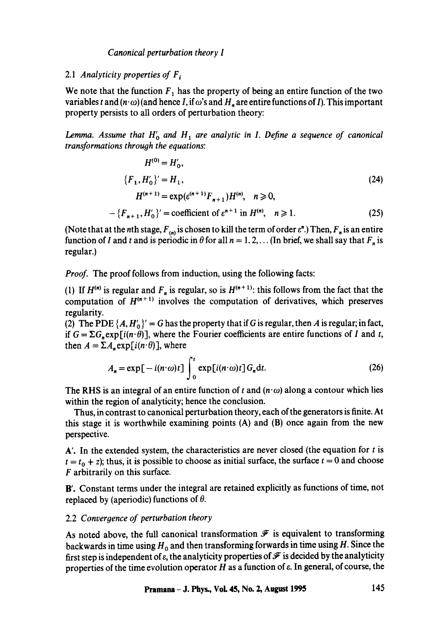## *Canonical perturbation theory I*

## 2.1 *Analyticity properties of*  $F_i$

We note that the function  $F_1$  has the property of being an entire function of the two variables t and  $(n \cdot \omega)$  (and hence I, if  $\omega$ 's and  $H_n$  are entire functions of I). This important property persists to all orders of perturbation theory:

*Lemma. Assume that*  $H'_0$  and  $H_1$  are analytic in I. Define a sequence of canonical *transformations through the equations:* 

$$
H^{(0)} = H'_0,
$$
  
\n
$$
\{F_1, H'_0\}' = H_1,
$$
  
\n
$$
H^{(n+1)} = \exp(e^{(n+1)}F_{n+1})H^{(n)}, \quad n \ge 0,
$$
  
\n
$$
-\{F_{n+1}, H'_0\}' = \text{coefficient of } e^{n+1} \text{ in } H^{(n)}, \quad n \ge 1.
$$
\n(25)

(Note that at the *n*th stage,  $F_{(n)}$  is chosen to kill the term of order  $\varepsilon^n$ .) Then,  $F_n$  is an entire function of I and t and is periodic in  $\theta$  for all  $n = 1, 2, \ldots$  (In brief, we shall say that  $F_n$  is regular.)

*Proof.* The proof follows from induction, using the following facts:

(1) If  $H^{(n)}$  is regular and  $F_n$  is regular, so is  $H^{(n+1)}$ : this follows from the fact that the computation of  $H^{(n+1)}$  involves the computation of derivatives, which preserves regularity.

(2) The PDE  $\{A, H_0'\} = G$  has the property that if G is regular, then A is regular; in fact, if  $G = \sum G_n \exp[i(n \cdot \theta)]$ , where the Fourier coefficients are entire functions of I and t, then  $A = \sum A_n \exp[i(n \cdot \theta)]$ , where

$$
A_n = \exp[-i(n \cdot \omega)t] \int_0^t \exp[i(n \cdot \omega)t] G_n dt.
$$
 (26)

The RHS is an integral of an entire function of t and  $(n \cdot \omega)$  along a contour which lies within the region of analyticity; hence the conclusion.

Thus, in contrast to canonical perturbation theory, each of the generators is finite. At this stage it is worthwhile examining points (A) and (B) once again from the new perspective.

 $A'$ . In the extended system, the characteristics are never closed (the equation for  $t$  is  $t = t_0 + z$ ); thus, it is possible to choose as initial surface, the surface  $t = 0$  and choose F arbitrarily on this surface.

B'. Constant terms under the integral are retained explicitly as functions of time, not replaced by (aperiodic) functions of  $\theta$ .

## 2.2 *Convergence of perturbation theory*

As noted above, the full canonical transformation  $\mathscr F$  is equivalent to transforming backwards in time using  $H_0$  and then transforming forwards in time using H. Since the first step is independent of  $\varepsilon$ , the analyticity properties of  $\mathscr F$  is decided by the analyticity properties of the time evolution operator  $H$  as a function of  $\varepsilon$ . In general, of course, the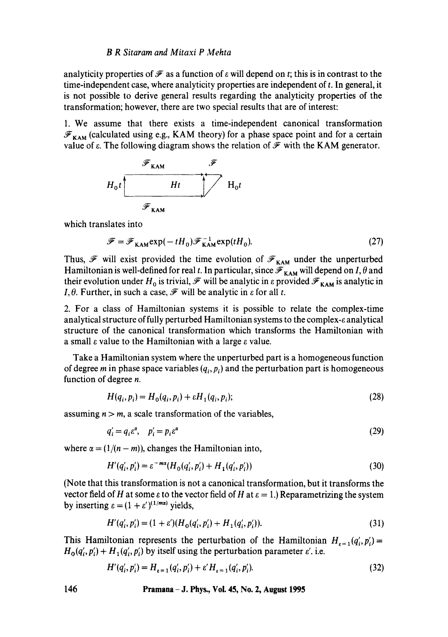#### *B R Sitaram and Mitaxi P Mehta*

analyticity properties of  $\mathcal F$  as a function of  $\varepsilon$  will depend on t; this is in contrast to the time-independent case, where analyticity properties are independent of t. In general, it is not possible to derive general results regarding the analyticity properties of the transformation; however, there are two special results that are of interest:

1. We assume that there exists a time-independent canonical transformation  $\mathscr{F}_{KAM}$  (calculated using e.g., KAM theory) for a phase space point and for a certain value of  $\varepsilon$ . The following diagram shows the relation of  $\mathscr F$  with the KAM generator.



which translates into

$$
\mathcal{F} = \mathcal{F}_{KAM} \exp(-tH_0) \mathcal{F}_{KAM}^{-1} \exp(tH_0).
$$
 (27)

Thus,  $\mathscr F$  will exist provided the time evolution of  $\mathscr F_{KAM}$  under the unperturbed Hamiltonian is well-defined for real t. In particular, since  $\mathscr{F}_{KAM}$  will depend on I,  $\theta$  and their evolution under  $H_0$  is trivial,  $\mathscr F$  will be analytic in  $\varepsilon$  provided  $\mathscr F_{KAM}$  is analytic in *I*,  $\theta$ . Further, in such a case,  $\mathcal{F}$  will be analytic in  $\varepsilon$  for all t.

2. For a class of Hamiltonian systems it is possible to relate the complex-time analytical structure of fully perturbed Hamiltonian systems to the complex- $\varepsilon$  analytical structure of the canonical transformation which transforms the Hamiltonian with a small  $\varepsilon$  value to the Hamiltonian with a large  $\varepsilon$  value.

Take a Hamiltonian system where the unperturbed part is a homogeneous function of degree m in phase space variables  $(q_i, p_i)$  and the perturbation part is homogeneous function of degree n.

$$
H(q_i, p_i) = H_0(q_i, p_i) + \varepsilon H_1(q_i, p_i); \qquad (28)
$$

assuming  $n > m$ , a scale transformation of the variables,

$$
q_i' = q_i \varepsilon^{\alpha}, \quad p_i' = p_i \varepsilon^{\alpha} \tag{29}
$$

where  $\alpha = (1/(n-m))$ , changes the Hamiltonian into,

$$
H'(q'_i, p'_i) = \varepsilon^{-ma} (H_0(q'_i, p'_i) + H_1(q'_i, p'_i))
$$
\n(30)

(Note that this transformation is not a canonical transformation, but it transforms the vector field of H at some  $\varepsilon$  to the vector field of H at  $\varepsilon = 1$ .) Reparametrizing the system by inserting  $\varepsilon = (1 + \varepsilon')^{(1/m\alpha)}$  yields,

$$
H'(q'_i, p'_i) = (1 + \varepsilon')(H_0(q'_i, p'_i) + H_1(q'_i, p'_i)).
$$
\n(31)

This Hamiltonian represents the perturbation of the Hamiltonian  $H_{\epsilon=1}(q'_i,p'_i)=$  $H_0(q'_i, p'_i) + H_1(q'_i, p'_i)$  by itself using the perturbation parameter  $\varepsilon'$ . i.e.

$$
H'(q'_i, p'_i) = H_{\varepsilon=1}(q'_i, p'_i) + \varepsilon' H_{\varepsilon=1}(q'_i, p'_i). \tag{32}
$$

**146 Pramana - J. Phys., Voi. 45, No. 2, August 1995**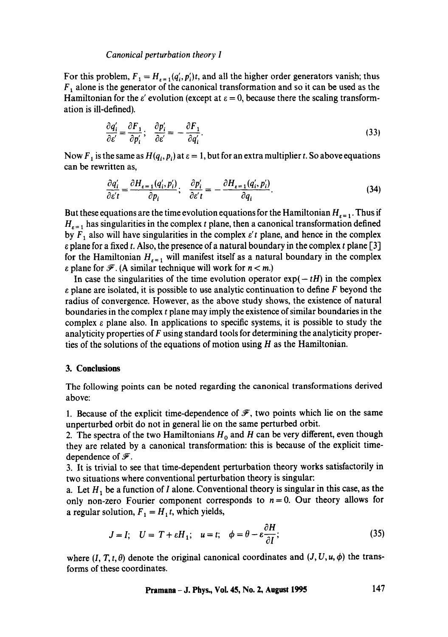### *Canonical perturbation theory I*

For this problem,  $F_1 = H_{r=1}(q'_i, p'_i)t$ , and all the higher order generators vanish; thus  $F_1$  alone is the generator of the canonical transformation and so it can be used as the Hamiltonian for the  $\varepsilon'$  evolution (except at  $\varepsilon = 0$ , because there the scaling transformation is ill-defined).

$$
\frac{\partial q_i'}{\partial \varepsilon'} = \frac{\partial F_1}{\partial p_i'}; \quad \frac{\partial p_i'}{\partial \varepsilon'} = -\frac{\partial F_1}{\partial q_i'}.
$$
\n(33)

Now  $F_1$  is the same as  $H(q_i, p_i)$  at  $\varepsilon = 1$ , but for an extra multiplier t. So above equations can be rewritten as,

$$
\frac{\partial q_i'}{\partial \varepsilon' t} = \frac{\partial H_{\varepsilon = 1}(q_i', p_i')}{\partial p_i}; \quad \frac{\partial p_i'}{\partial \varepsilon' t} = -\frac{\partial H_{\varepsilon = 1}(q_i', p_i')}{\partial q_i}.
$$
(34)

But these equations are the time evolution equations for the Hamiltonian  $H_{\epsilon=1}$ . Thus if  $H_{\epsilon=1}$  has singularities in the complex t plane, then a canonical transformation defined by  $F_1$  also will have singularities in the complex  $\varepsilon'$  plane, and hence in the complex  $\varepsilon$  plane for a fixed t. Also, the presence of a natural boundary in the complex t plane [3] for the Hamiltonian  $H_{\epsilon=1}$  will manifest itself as a natural boundary in the complex  $\varepsilon$  plane for  $\mathscr{F}$ . (A similar technique will work for  $n < m$ .)

In case the singularities of the time evolution operator  $exp(- tH)$  in the complex  $\varepsilon$  plane are isolated, it is possible to use analytic continuation to define F beyond the radius of convergence. However, as the above study shows, the existence of natural boundaries in the complex t plane may imply the existence of similar boundaries in the complex  $\varepsilon$  plane also. In applications to specific systems, it is possible to study the analyticity properties of F using standard tools for determining the analyticity properties of the solutions of the equations of motion using  $H$  as the Hamiltonian.

### **3. Conclusions**

The following points can be noted regarding the canonical transformations derived above:

1. Because of the explicit time-dependence of  $\mathscr{F}$ , two points which lie on the same unperturbed orbit do not in general lie on the same perturbed orbit.

2. The spectra of the two Hamiltonians  $H_0$  and H can be very different, even though they are related by a canonical transformation: this is because of the explicit timedependence of  $\mathscr F$ .

3. It is trivial to see that time-dependent perturbation theory works satisfactorily in two situations where conventional perturbation theory is singular:

a. Let  $H_1$  be a function of I alone. Conventional theory is singular in this case, as the only non-zero Fourier component corresponds to  $n = 0$ . Our theory allows for a regular solution,  $F_1 = H_1 t$ , which yields,

$$
J = I; \quad U = T + \varepsilon H_1; \quad u = t; \quad \phi = \theta - \varepsilon \frac{\partial H}{\partial I};
$$
 (35)

where  $(I, T, t, \theta)$  denote the original canonical coordinates and  $(J, U, u, \phi)$  the transforms of these coordinates.